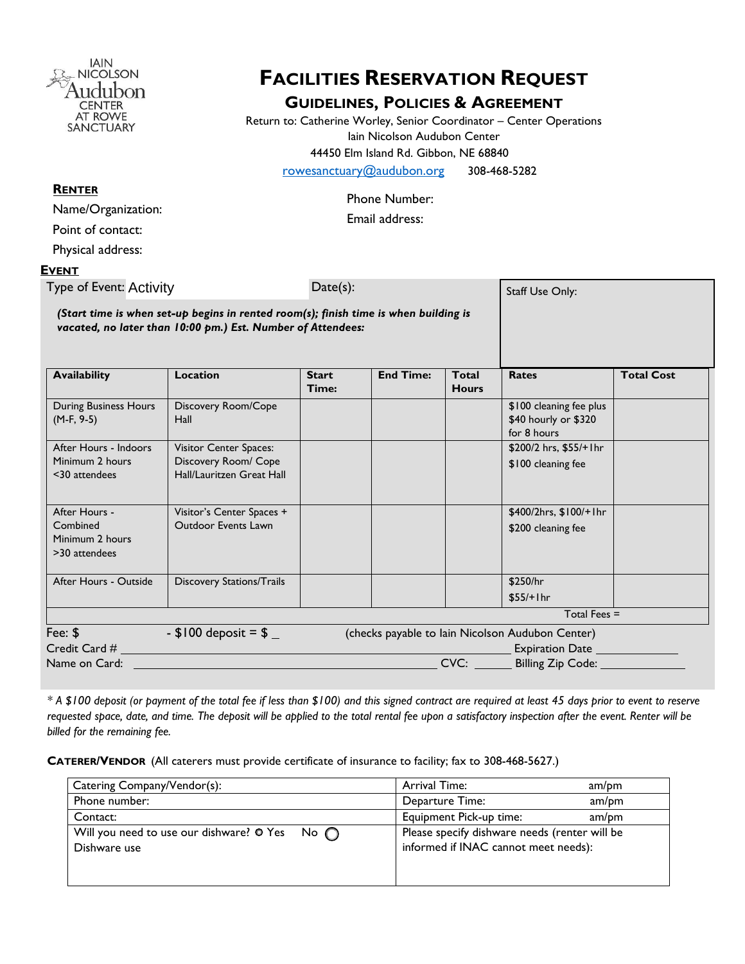

# **FACILITIES RESERVATION REQUEST**

### **GUIDELINES, POLICIES & AGREEMENT**

Return to: Catherine Worley, Senior Coordinator – Center Operations Iain Nicolson Audubon Center 44450 Elm Island Rd. Gibbon, NE 68840

[rowesanctuary@audubon.org](mailto:rowesanctuary@audubon.org)308-468-5282

Phone Number:

Email address:

Point of contact:

Name/Organization:

**RENTER**

Physical address:

#### **EVENT**

Type of Event: Activity **Example 20** Date(s): *(Start time is when set-up begins in rented room(s); finish time is when building is vacated, no later than 10:00 pm.) Est. Number of Attendees:*  Fee:  $\$$  -  $\$100$  deposit =  $\$$  (checks payable to Iain Nicolson Audubon Center) Credit Card # Expiration Date Name on Card: CVC: Billing Zip Code: . Availability **Location** Start **Time: End Time: Total Hours Rates Total Cost** During Business Hours (M-F, 9-5) Discovery Room/Cope Hall \$100 cleaning fee plus \$40 hourly or \$320 for 8 hours After Hours - Indoors Minimum 2 hours <30 attendees Visitor Center Spaces: Discovery Room/ Cope Hall/Lauritzen Great Hall \$200/2 hrs, \$55/+1hr \$100 cleaning fee After Hours - Combined Minimum 2 hours >30 attendees Visitor's Center Spaces + Outdoor Events Lawn \$400/2hrs, \$100/+1hr \$200 cleaning fee After Hours - Outside Discovery Stations/Trails **After Hours - After Hours - Stations** 1 \$250/hr \$55/+1hr Total Fees = Staff Use Only:

*\* A \$100 deposit (or payment of the total fee if less than \$100) and this signed contract are required at least 45 days prior to event to reserve requested space, date, and time. The deposit will be applied to the total rental fee upon a satisfactory inspection after the event. Renter will be billed for the remaining fee.*

**CATERER/VENDOR** (All caterers must provide certificate of insurance to facility; fax to 308-468-5627.)

| Catering Company/Vendor(s):                                               | Arrival Time:                                                                         | am/pm |
|---------------------------------------------------------------------------|---------------------------------------------------------------------------------------|-------|
| Phone number:                                                             | Departure Time:                                                                       | am/pm |
| Contact:                                                                  | Equipment Pick-up time:                                                               | am/pm |
| Will you need to use our dishware? $\circ$ Yes No $\circ$<br>Dishware use | Please specify dishware needs (renter will be<br>informed if INAC cannot meet needs): |       |
|                                                                           |                                                                                       |       |
|                                                                           |                                                                                       |       |